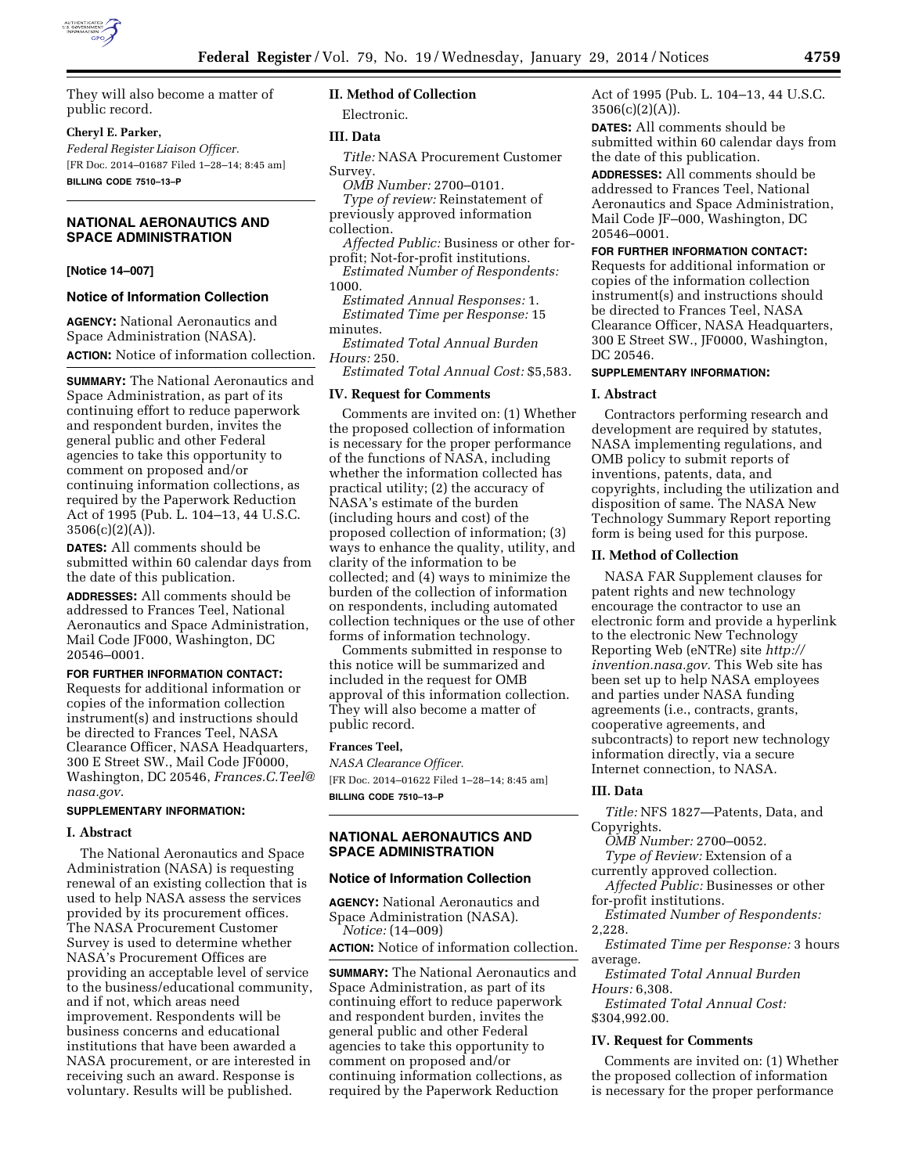

# **Cheryl E. Parker,**

*Federal Register Liaison Officer.*  [FR Doc. 2014–01687 Filed 1–28–14; 8:45 am] **BILLING CODE 7510–13–P** 

# **NATIONAL AERONAUTICS AND SPACE ADMINISTRATION**

#### **[Notice 14–007]**

#### **Notice of Information Collection**

**AGENCY:** National Aeronautics and Space Administration (NASA). **ACTION:** Notice of information collection.

**SUMMARY:** The National Aeronautics and Space Administration, as part of its continuing effort to reduce paperwork and respondent burden, invites the general public and other Federal agencies to take this opportunity to comment on proposed and/or continuing information collections, as required by the Paperwork Reduction Act of 1995 (Pub. L. 104–13, 44 U.S.C.  $3506(c)(2)(A)$ .

**DATES:** All comments should be submitted within 60 calendar days from the date of this publication.

**ADDRESSES:** All comments should be addressed to Frances Teel, National Aeronautics and Space Administration, Mail Code JF000, Washington, DC 20546–0001.

**FOR FURTHER INFORMATION CONTACT:**  Requests for additional information or copies of the information collection instrument(s) and instructions should be directed to Frances Teel, NASA Clearance Officer, NASA Headquarters, 300 E Street SW., Mail Code JF0000, Washington, DC 20546, *[Frances.C.Teel@](mailto:Frances.C.Teel@nasa.gov) [nasa.gov](mailto:Frances.C.Teel@nasa.gov)*.

#### **SUPPLEMENTARY INFORMATION:**

# **I. Abstract**

The National Aeronautics and Space Administration (NASA) is requesting renewal of an existing collection that is used to help NASA assess the services provided by its procurement offices. The NASA Procurement Customer Survey is used to determine whether NASA's Procurement Offices are providing an acceptable level of service to the business/educational community, and if not, which areas need improvement. Respondents will be business concerns and educational institutions that have been awarded a NASA procurement, or are interested in receiving such an award. Response is voluntary. Results will be published.

# **II. Method of Collection**

# Electronic.

# **III. Data**

*Title:* NASA Procurement Customer Survey.

- *OMB Number:* 2700–0101.
- *Type of review:* Reinstatement of previously approved information collection.
- *Affected Public:* Business or other forprofit; Not-for-profit institutions.
- *Estimated Number of Respondents:*  1000.

*Estimated Annual Responses:* 1. *Estimated Time per Response:* 15 minutes.

*Estimated Total Annual Burden Hours:* 250.

*Estimated Total Annual Cost:* \$5,583.

# **IV. Request for Comments**

Comments are invited on: (1) Whether the proposed collection of information is necessary for the proper performance of the functions of NASA, including whether the information collected has practical utility; (2) the accuracy of NASA's estimate of the burden (including hours and cost) of the proposed collection of information; (3) ways to enhance the quality, utility, and clarity of the information to be collected; and (4) ways to minimize the burden of the collection of information on respondents, including automated collection techniques or the use of other forms of information technology.

Comments submitted in response to this notice will be summarized and included in the request for OMB approval of this information collection. They will also become a matter of public record.

# **Frances Teel,**

*NASA Clearance Officer.*  [FR Doc. 2014–01622 Filed 1–28–14; 8:45 am] **BILLING CODE 7510–13–P** 

# **NATIONAL AERONAUTICS AND SPACE ADMINISTRATION**

#### **Notice of Information Collection**

**AGENCY:** National Aeronautics and Space Administration (NASA). *Notice:* (14–009)

**ACTION:** Notice of information collection.

**SUMMARY:** The National Aeronautics and Space Administration, as part of its continuing effort to reduce paperwork and respondent burden, invites the general public and other Federal agencies to take this opportunity to comment on proposed and/or continuing information collections, as required by the Paperwork Reduction

Act of 1995 (Pub. L. 104–13, 44 U.S.C.  $3506(c)(2)(A)$ .

**DATES:** All comments should be submitted within 60 calendar days from the date of this publication.

**ADDRESSES:** All comments should be addressed to Frances Teel, National Aeronautics and Space Administration, Mail Code JF–000, Washington, DC 20546–0001.

**FOR FURTHER INFORMATION CONTACT:** 

Requests for additional information or copies of the information collection instrument(s) and instructions should be directed to Frances Teel, NASA Clearance Officer, NASA Headquarters, 300 E Street SW., JF0000, Washington, DC 20546.

#### **SUPPLEMENTARY INFORMATION:**

#### **I. Abstract**

Contractors performing research and development are required by statutes, NASA implementing regulations, and OMB policy to submit reports of inventions, patents, data, and copyrights, including the utilization and disposition of same. The NASA New Technology Summary Report reporting form is being used for this purpose.

#### **II. Method of Collection**

NASA FAR Supplement clauses for patent rights and new technology encourage the contractor to use an electronic form and provide a hyperlink to the electronic New Technology Reporting Web (eNTRe) site *[http://](http://invention.nasa.gov) [invention.nasa.gov.](http://invention.nasa.gov)* This Web site has been set up to help NASA employees and parties under NASA funding agreements (i.e., contracts, grants, cooperative agreements, and subcontracts) to report new technology information directly, via a secure Internet connection, to NASA.

#### **III. Data**

*Title:* NFS 1827—Patents, Data, and Copyrights.

*OMB Number:* 2700–0052. *Type of Review:* Extension of a currently approved collection.

*Affected Public:* Businesses or other for-profit institutions.

*Estimated Number of Respondents:*  2,228.

*Estimated Time per Response:* 3 hours average.

*Estimated Total Annual Burden Hours:* 6,308.

*Estimated Total Annual Cost:*  \$304,992.00.

#### **IV. Request for Comments**

Comments are invited on: (1) Whether the proposed collection of information is necessary for the proper performance